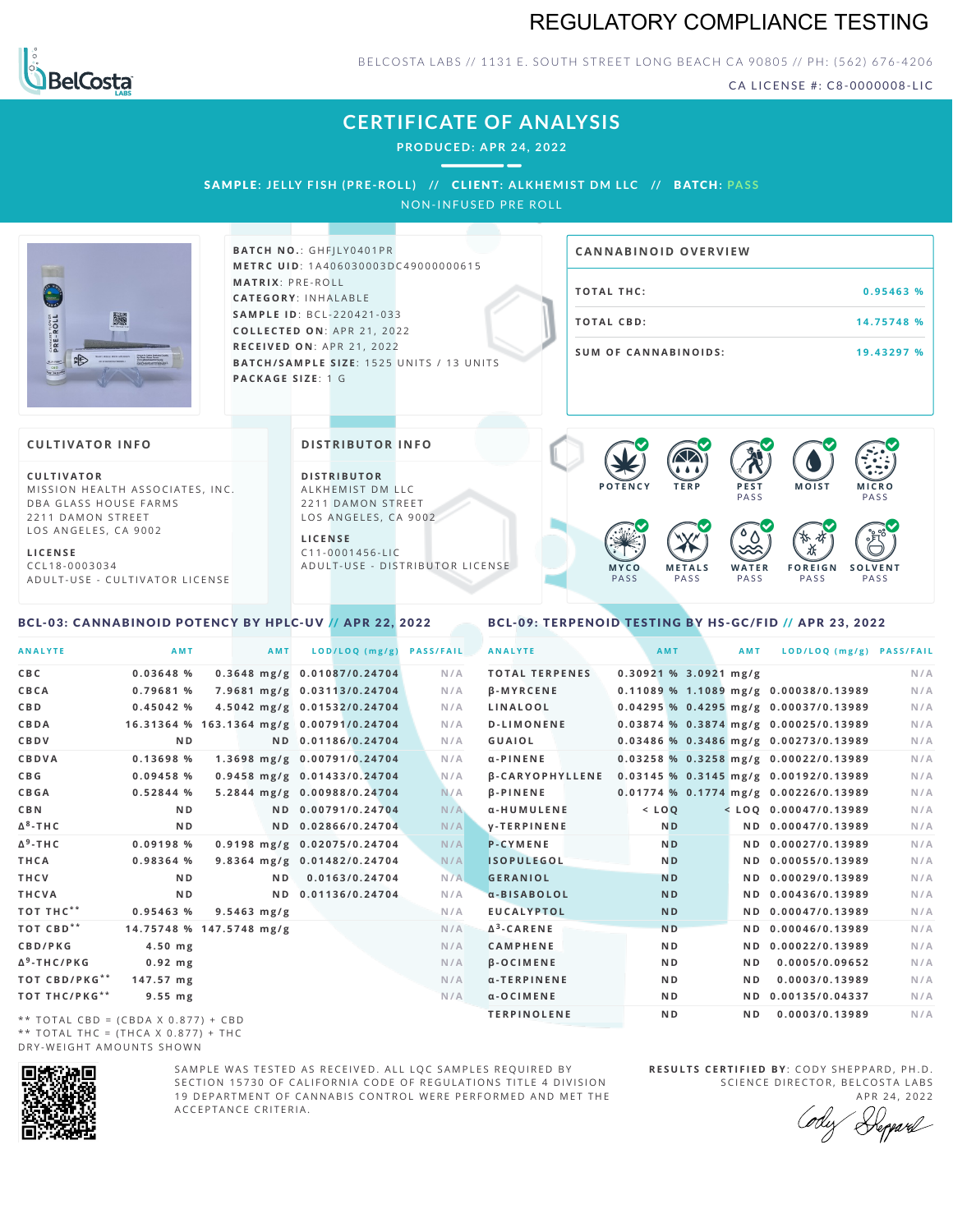# REGULATORY COMPLIANCE TESTING



BELCOSTA LABS // 1131 E. SOUTH STREET LONG BEACH CA 90805 // PH: (562) 676-4206

CA LICENSE #: C8-0000008-LIC

# **CERTIFICATE OF ANALYSIS**

**PRODUCED: A PR 24, 2022**

SAMPLE: JELLY FISH (PRE-ROLL) // CLIENT: ALKHEMIST DM LLC // BATCH: PASS

NON-INFUSED PRE ROLL



**BATCH NO.: GHFJLY0401PR M E T R C U ID** :1 A 4 0 6 0 3 0 0 0 3 D C 4 9 0 0 0 0 0 0 6 1 5 **M AT R I X** :P R E - R O L L **CAT E G O R Y** : I N H A L A B L E **SA M P L E I D** :B C L - 2 2 0 4 2 1 - 0 3 3 **C O L L E C T E D O N** :A P R 2 1 ,2 0 2 2 **R E C E I V E D O N** : A P R 2 1 , 2 0 2 2 **BATCH/SAMPLE SIZE:** 1525 UNITS / 13 UNITS **PAC KA G E S I Z E** : 1 G

# **T O TAL T H C :0 . 9 5 4 6 3 % T O TAL CB D :1 4 . 7 5 7 4 8 % S U M O F CA N N ABI N O I D S : 1 9 . 4 3 2 9 7 % CA N N ABI N OID OVERVI EW**

#### **CULTIVATOR I N FO**

**C U L T I VAT O R** MISSION HEALTH ASSOCIATES, INC. DBA GLASS HOUSE FARMS 2211 DAMON STREET LOS ANGELES, CA 9002

**L I C E N S E** C C L 1 8 - 0 0 0 3 0 3 4 A D U L T - U S E - C U L T I V A T O R L I C E N S E

### <span id="page-0-0"></span>BCL-03: CANNABINOID POTENCY BY HPLC-UV // APR 22, 2022

#### **DI STRIBUTOR I N FO**

**D I S T R IB U T O R** ALKHEMIST DM LLC 2211 DAMON STREET LOS ANGELES, CA 9002

**L I C E N S E**  $C$  1 1 - 0 0 0 1 4 5 6 - L I C A D U L T - U S E - D I STRI B U T O R LICENSE



#### <span id="page-0-1"></span>BCL-09: TERPENOID TESTING BY HS-GC/FID // APR 23, 2022

| <b>ANALYTE</b>                      | AMT                                      |               | AMT            | LOD/LOQ (mg/g)              | <b>PASS/FAIL</b> | <b>ANALYTE</b>         |                         | AMT            | <b>AMT</b>     | LOD/LOQ (mg/g) PASS/FAIL              |     |
|-------------------------------------|------------------------------------------|---------------|----------------|-----------------------------|------------------|------------------------|-------------------------|----------------|----------------|---------------------------------------|-----|
| C B C                               | 0.03648%                                 |               |                | 0.3648 mg/g 0.01087/0.24704 | N/A              | <b>TOTAL TERPENES</b>  | $0.30921$ % 3.0921 mg/g |                |                |                                       | N/A |
| CBCA                                | 0.79681 %                                |               |                | 7.9681 mg/g 0.03113/0.24704 | N/A              | <b>B-MYRCENE</b>       |                         |                |                | 0.11089 % 1.1089 mg/g 0.00038/0.13989 | N/A |
| C B D                               | 0.45042%                                 |               |                | 4.5042 mg/g 0.01532/0.24704 | N/A              | LINALOOL               |                         |                |                | 0.04295 % 0.4295 mg/g 0.00037/0.13989 | N/A |
| CBDA                                | 16.31364 % 163.1364 mg/g 0.00791/0.24704 |               |                |                             | N/A              | <b>D-LIMONENE</b>      |                         |                |                | 0.03874 % 0.3874 mg/g 0.00025/0.13989 | N/A |
| <b>CBDV</b>                         | N <sub>D</sub>                           |               |                | ND 0.01186/0.24704          | N/A              | <b>GUAIOL</b>          |                         |                |                | 0.03486 % 0.3486 mg/g 0.00273/0.13989 | N/A |
| CBDVA                               | 0.13698 %                                |               |                | 1.3698 mg/g 0.00791/0.24704 | N/A              | $\alpha$ -PINENE       |                         |                |                | 0.03258 % 0.3258 mg/g 0.00022/0.13989 | N/A |
| C B G                               | 0.09458 %                                |               |                | 0.9458 mg/g 0.01433/0.24704 | N/A              | <b>B-CARYOPHYLLENE</b> |                         |                |                | 0.03145 % 0.3145 mg/g 0.00192/0.13989 | N/A |
| <b>CBGA</b>                         | 0.52844 %                                |               |                | 5.2844 mg/g 0.00988/0.24704 | N/A              | <b>B-PINENE</b>        |                         |                |                | 0.01774 % 0.1774 mg/g 0.00226/0.13989 | N/A |
| C B N                               | N <sub>D</sub>                           |               |                | ND 0.00791/0.24704          | N/A              | α-HUMULENE             |                         | $<$ LOQ        |                | $<$ LOQ 0.00047/0.13989               | N/A |
| Δ <sup>8</sup> -ΤΗ C                | N <sub>D</sub>                           |               |                | ND 0.02866/0.24704          | N/A              | <b>V-TERPINENE</b>     |                         | N <sub>D</sub> |                | ND 0.00047/0.13989                    | N/A |
| Δ <sup>9</sup> -ΤΗ C                | 0.09198 %                                |               |                | 0.9198 mg/g 0.02075/0.24704 | N/A              | <b>P-CYMENE</b>        |                         | N <sub>D</sub> |                | ND 0.00027/0.13989                    | N/A |
| THCA                                | 0.98364 %                                |               |                | 9.8364 mg/g 0.01482/0.24704 | N/A              | <b>ISOPULEGOL</b>      |                         | N <sub>D</sub> |                | ND 0.00055/0.13989                    | N/A |
| THCV                                | ND.                                      |               | N <sub>D</sub> | 0.0163/0.24704              | N/A              | <b>GERANIOL</b>        |                         | <b>ND</b>      |                | ND 0.00029/0.13989                    | N/A |
| THCVA                               | N <sub>D</sub>                           |               | ND.            | 0.01136/0.24704             | N/A              | a-BISABOLOL            |                         | <b>ND</b>      |                | ND 0.00436/0.13989                    | N/A |
| тот тнс**                           | 0.95463 %                                | $9.5463$ mg/g |                |                             | N/A              | <b>EUCALYPTOL</b>      |                         | <b>ND</b>      |                | ND 0.00047/0.13989                    | N/A |
| ТОТ СВD**                           | 14.75748 % 147.5748 mg/g                 |               |                |                             | N/A              | $\Delta^3$ -CARENE     |                         | N <sub>D</sub> |                | ND 0.00046/0.13989                    | N/A |
| <b>CBD/PKG</b>                      | $4.50$ mg                                |               |                |                             | N/A              | <b>CAMPHENE</b>        |                         | N <sub>D</sub> |                | ND 0.00022/0.13989                    | N/A |
| Δ <sup>9</sup> -THC/PKG             | $0.92$ mg                                |               |                |                             | N/A              | <b>B-OCIMENE</b>       |                         | N <sub>D</sub> | N <sub>D</sub> | 0.0005/0.09652                        | N/A |
| ТОТ СВD/РКG**                       | $147.57$ mg                              |               |                |                             | N/A              | α-TERPINENE            |                         | N <sub>D</sub> | ND.            | 0.0003/0.13989                        | N/A |
| ТОТ ТНС/РКG**                       | $9.55$ mg                                |               |                |                             | N/A              | $a$ -OCIMENE           |                         | N <sub>D</sub> |                | ND 0.00135/0.04337                    | N/A |
| ** TOTAL CRD - (CRDA V 0 977) + CRD |                                          |               |                |                             |                  | <b>TERPINOLENE</b>     |                         | N <sub>D</sub> | N <sub>D</sub> | 0.0003/0.13989                        | N/A |

\*\* TOTAL CBD = (CBDA X 0.877) + CBD \*\* TOTAL THC =  $(THCA X 0.877) + THC$ DRY-WEIGHT AMOUNTS SHOWN



SAMPLE WAS TESTED AS RECEIVED. ALL LOC SAMPLES REQUIRED BY SECTION 15730 OF CALIFORNIA CODE OF REGULATIONS TITLE 4 DIVISION 19 DEPARTMENT OF CANNABIS CONTROL WERE PERFORMED AND MET THE A C C E P T A N C E C R I T E R I A .

**R E S U L T S C E R T I F I E D BY** : C O D Y S H E P P A R D ,P H .D . SCIENCE DIRECTOR, BELCOSTA LABS

APR 24, 2022 Reppard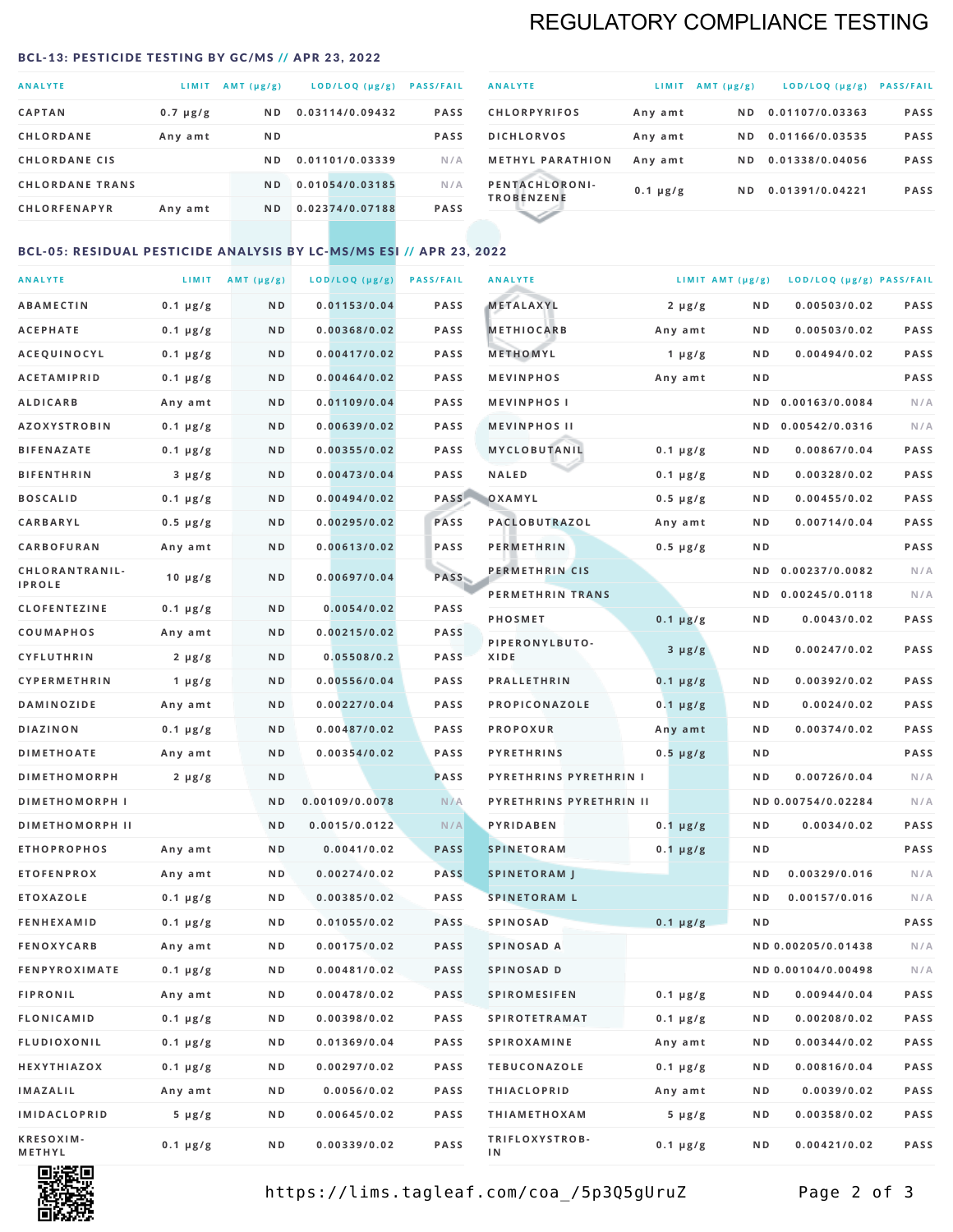# REGULATORY COMPLIANCE TESTING

#### <span id="page-1-0"></span>BCL-13: PESTICIDE TESTING BY GC/MS // APR 23, 2022

| LOD/LOQ (µg/g)<br><b>ANALYTE</b><br>$AMT(\mu g/g)$<br>LIMIT<br><b>CAPTAN</b><br>0.03114/0.09432<br>N D<br>$0.7 \mu g/g$<br><b>CHLORDANE</b><br>ND.<br>Any amt<br><b>CHLORDANE CIS</b><br>0.01101/0.03339<br>N D<br>0.01054/0.03185<br><b>CHLORDANE TRANS</b><br>ND.<br><b>CHLORFENAPYR</b><br>0.02374/0.07188<br>N <sub>D</sub><br>Any amt |  |  |                  |
|--------------------------------------------------------------------------------------------------------------------------------------------------------------------------------------------------------------------------------------------------------------------------------------------------------------------------------------------|--|--|------------------|
|                                                                                                                                                                                                                                                                                                                                            |  |  | <b>PASS/FAIL</b> |
|                                                                                                                                                                                                                                                                                                                                            |  |  | <b>PASS</b>      |
|                                                                                                                                                                                                                                                                                                                                            |  |  | <b>PASS</b>      |
|                                                                                                                                                                                                                                                                                                                                            |  |  | N/A              |
|                                                                                                                                                                                                                                                                                                                                            |  |  | N/A              |
|                                                                                                                                                                                                                                                                                                                                            |  |  | <b>PASS</b>      |

| <b>ANALYTE</b>                      | LIMIT         | $AMT(\mu g/g)$ | $LOD/LOQ$ ( $\mu g/g$ ) | <b>PASS/FAIL</b> |
|-------------------------------------|---------------|----------------|-------------------------|------------------|
| <b>CHLORPYRIFOS</b>                 | Any amt       | ND.            | 0.01107/0.03363         | <b>PASS</b>      |
| <b>DICHLORVOS</b>                   | Any amt       | ND.            | 0.01166/0.03535         | <b>PASS</b>      |
| <b>METHYL PARATHION</b>             | Any amt       | ND.            | 0.01338/0.04056         | <b>PASS</b>      |
| PENTACHLORONI-<br><b>TROBENZENE</b> | $0.1 \mu g/g$ | ND.            | 0.01391/0.04221         | <b>PASS</b>      |
|                                     |               |                |                         |                  |

### BCL-05: RESIDUAL PESTICIDE ANALYSIS BY LC-MS/MS ESI // APR 23, 2022

| <b>ANALYTE</b>             |               | LIMIT $AMT(\mu g/g)$ | LOD/LOQ (µg/g) | <b>PASS/FAIL</b> | <b>ANALYTE</b>                |               | LIMIT AMT (µg/g) | LOD/LOQ (µg/g) PASS/FAIL |             |
|----------------------------|---------------|----------------------|----------------|------------------|-------------------------------|---------------|------------------|--------------------------|-------------|
| <b>ABAMECTIN</b>           | $0.1 \mu g/g$ | N D                  | 0.01153/0.04   | <b>PASS</b>      | <b>METALAXYL</b>              | $2 \mu g/g$   | N D              | 0.00503/0.02             | PASS        |
| <b>ACEPHATE</b>            | $0.1 \mu g/g$ | N D                  | 0.00368/0.02   | <b>PASS</b>      | <b>METHIOCARB</b>             | Any amt       | N D              | 0.00503/0.02             | PASS        |
| <b>ACEQUINOCYL</b>         | $0.1 \mu g/g$ | ND                   | 0.00417/0.02   | <b>PASS</b>      | METHOMYL                      | 1 $\mu$ g/g   | N D              | 0.00494/0.02             | PASS        |
| <b>ACETAMIPRID</b>         | $0.1 \mu g/g$ | N D                  | 0.00464/0.02   | <b>PASS</b>      | <b>MEVINPHOS</b>              | Any amt       | N D              |                          | PASS        |
| <b>ALDICARB</b>            | Any amt       | N D                  | 0.01109/0.04   | <b>PASS</b>      | <b>MEVINPHOSI</b>             |               | N D              | 0.00163/0.0084           | N/A         |
| <b>AZOXYSTROBIN</b>        | $0.1 \mu g/g$ | ND                   | 0.00639/0.02   | <b>PASS</b>      | <b>MEVINPHOS II</b>           |               | N D              | 0.00542/0.0316           | N/A         |
| <b>BIFENAZATE</b>          | $0.1 \mu g/g$ | N D                  | 0.00355/0.02   | <b>PASS</b>      | MYCLOBUTANIL                  | $0.1 \mu g/g$ | N D              | 0.00867/0.04             | PASS        |
| <b>BIFENTHRIN</b>          | $3 \mu g/g$   | ND                   | 0.00473/0.04   | <b>PASS</b>      | <b>NALED</b>                  | $0.1 \mu g/g$ | N D              | 0.00328/0.02             | PASS        |
| <b>BOSCALID</b>            | $0.1 \mu g/g$ | N D                  | 0.00494/0.02   | PASS             | OXAMYL                        | $0.5 \mu g/g$ | N D              | 0.00455/0.02             | PASS        |
| CARBARYL                   | $0.5 \mu g/g$ | N D                  | 0.00295/0.02   | PASS             | PACLOBUTRAZOL                 | Any amt       | N D              | 0.00714/0.04             | PASS        |
| CARBOFURAN                 | Any amt       | N D                  | 0.00613/0.02   | <b>PASS</b>      | <b>PERMETHRIN</b>             | $0.5 \mu g/g$ | N D              |                          | PASS        |
| CHLORANTRANIL-             | $10 \mu g/g$  | N D                  | 0.00697/0.04   | PASS             | PERMETHRIN CIS                |               | N D              | 0.00237/0.0082           | N/A         |
| <b>IPROLE</b>              |               |                      |                |                  | PERMETHRIN TRANS              |               |                  | ND 0.00245/0.0118        | N/A         |
| <b>CLOFENTEZINE</b>        | $0.1 \mu g/g$ | N D                  | 0.0054/0.02    | <b>PASS</b>      | <b>PHOSMET</b>                | $0.1 \mu g/g$ | N D              | 0.0043/0.02              | PASS        |
| COUMAPHOS                  | Any amt       | N D                  | 0.00215/0.02   | <b>PASS</b>      | PIPERONYLBUTO-                | $3 \mu g/g$   | N D              | 0.00247/0.02             | PASS        |
| CYFLUTHRIN                 | $2 \mu g/g$   | ND                   | 0.05508/0.2    | <b>PASS</b>      | XIDE                          |               |                  |                          |             |
| <b>CYPERMETHRIN</b>        | 1 $\mu$ g/g   | N D                  | 0.00556/0.04   | <b>PASS</b>      | <b>PRALLETHRIN</b>            | $0.1 \mu g/g$ | N D              | 0.00392/0.02             | PASS        |
| <b>DAMINOZIDE</b>          | Any amt       | N D                  | 0.00227/0.04   | <b>PASS</b>      | PROPICONAZOLE                 | $0.1 \mu g/g$ | N D              | 0.0024/0.02              | PASS        |
| <b>DIAZINON</b>            | $0.1 \mu g/g$ | N D                  | 0.00487/0.02   | <b>PASS</b>      | <b>PROPOXUR</b>               | Any amt       | N D              | 0.00374/0.02             | <b>PASS</b> |
| <b>DIMETHOATE</b>          | Any amt       | N D                  | 0.00354/0.02   | <b>PASS</b>      | <b>PYRETHRINS</b>             | $0.5 \mu g/g$ | N D              |                          | PASS        |
| <b>DIMETHOMORPH</b>        | $2 \mu g/g$   | N D                  |                | <b>PASS</b>      | <b>PYRETHRINS PYRETHRIN I</b> |               | N D              | 0.00726/0.04             | N/A         |
| <b>DIMETHOMORPH I</b>      |               | N D                  | 0.00109/0.0078 | N/A              | PYRETHRINS PYRETHRIN II       |               |                  | ND 0.00754/0.02284       | N/A         |
| <b>DIMETHOMORPH II</b>     |               | N D                  | 0.0015/0.0122  | N/A              | PYRIDABEN                     | $0.1 \mu g/g$ | N D              | 0.0034/0.02              | PASS        |
| <b>ETHOPROPHOS</b>         | Any amt       | N D                  | 0.0041/0.02    | <b>PASS</b>      | <b>SPINETORAM</b>             | $0.1 \mu g/g$ | N D              |                          | PASS        |
| <b>ETOFENPROX</b>          | Any amt       | N D                  | 0.00274/0.02   | <b>PASS</b>      | <b>SPINETORAM J</b>           |               | N D              | 0.00329/0.016            | N/A         |
| <b>ETOXAZOLE</b>           | $0.1 \mu g/g$ | N D                  | 0.00385/0.02   | <b>PASS</b>      | <b>SPINETORAM L</b>           |               | N D              | 0.00157/0.016            | N/A         |
| <b>FENHEXAMID</b>          | $0.1 \mu g/g$ | N D                  | 0.01055/0.02   | <b>PASS</b>      | <b>SPINOSAD</b>               | $0.1 \mu g/g$ | N D              |                          | PASS        |
| <b>FENOXYCARB</b>          | Any amt       | N D                  | 0.00175/0.02   | <b>PASS</b>      | SPINOSAD A                    |               |                  | ND 0.00205/0.01438       | N/A         |
| <b>FENPYROXIMATE</b>       | $0.1 \mu g/g$ | N D                  | 0.00481/0.02   | <b>PASS</b>      | SPINOSAD D                    |               |                  | ND 0.00104/0.00498       | N/A         |
| <b>FIPRONIL</b>            | Any amt       | N D                  | 0.00478/0.02   | PASS             | <b>SPIROMESIFEN</b>           | $0.1 \mu g/g$ | N D              | 0.00944/0.04             | PASS        |
| FLONICAMID                 | $0.1 \mu g/g$ | N D                  | 0.00398/0.02   | PASS             | SPIROTETRAMAT                 | $0.1 \mu g/g$ | N D              | 0.00208/0.02             | PASS        |
| FLUDIOXONIL                | $0.1 \mu g/g$ | N D                  | 0.01369/0.04   | PASS             | SPIROXAMINE                   | Any amt       | N D              | 0.00344/0.02             | PASS        |
| HEXYTHIAZOX                | $0.1 \mu g/g$ | N D                  | 0.00297/0.02   | PASS             | <b>TEBUCONAZOLE</b>           | $0.1 \mu g/g$ | N D              | 0.00816/0.04             | PASS        |
| <b>IMAZALIL</b>            | Any amt       | N D                  | 0.0056/0.02    | PASS             | <b>THIACLOPRID</b>            | Any amt       | N D              | 0.0039/0.02              | PASS        |
| <b>IMIDACLOPRID</b>        | $5 \mu g/g$   | N D                  | 0.00645/0.02   | PASS             | <b>THIAMETHOXAM</b>           | $5 \mu g/g$   | N D              | 0.00358/0.02             | PASS        |
| <b>KRESOXIM-</b><br>METHYL | $0.1 \mu g/g$ | N D                  | 0.00339/0.02   | PASS             | TRIFLOXYSTROB-<br>IN          | $0.1 \mu g/g$ | N D              | 0.00421/0.02             | PASS        |